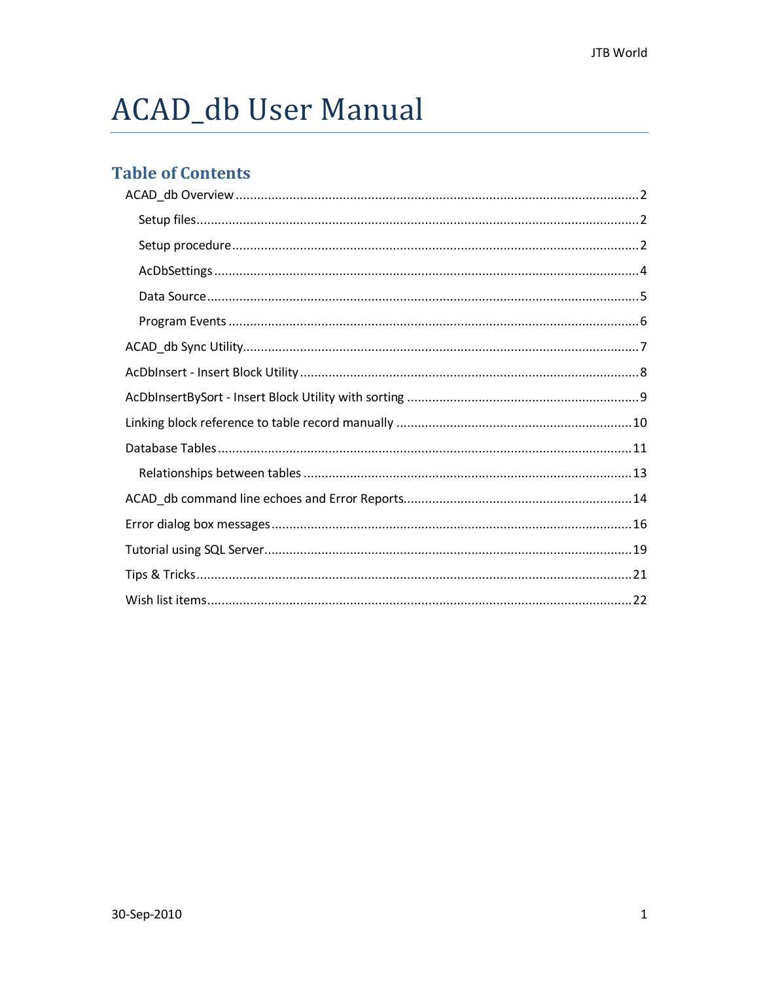# ACAD\_db User Manual

## **Table of Contents**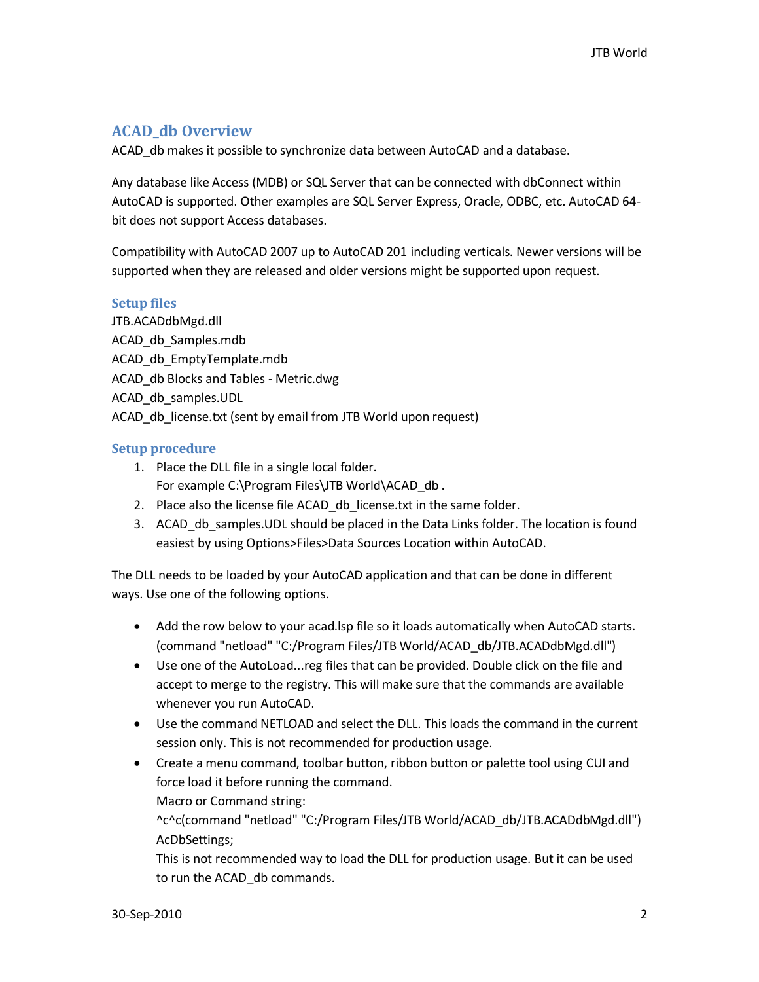## <span id="page-1-0"></span>**ACAD\_db Overview**

ACAD\_db makes it possible to synchronize data between AutoCAD and a database.

Any database like Access (MDB) or SQL Server that can be connected with dbConnect within AutoCAD is supported. Other examples are SQL Server Express, Oracle, ODBC, etc. AutoCAD 64 bit does not support Access databases.

Compatibility with AutoCAD 2007 up to AutoCAD 201 including verticals. Newer versions will be supported when they are released and older versions might be supported upon request.

## <span id="page-1-1"></span>**Setup files**

JTB.ACADdbMgd.dll ACAD\_db\_Samples.mdb ACAD db EmptyTemplate.mdb ACAD\_db Blocks and Tables - Metric.dwg ACAD\_db\_samples.UDL ACAD db license.txt (sent by email from JTB World upon request)

#### <span id="page-1-2"></span>**Setup procedure**

- 1. Place the DLL file in a single local folder. For example C:\Program Files\JTB World\ACAD db.
- 2. Place also the license file ACAD\_db\_license.txt in the same folder.
- 3. ACAD\_db\_samples.UDL should be placed in the Data Links folder. The location is found easiest by using Options>Files>Data Sources Location within AutoCAD.

The DLL needs to be loaded by your AutoCAD application and that can be done in different ways. Use one of the following options.

- Add the row below to your acad.lsp file so it loads automatically when AutoCAD starts. (command "netload" "C:/Program Files/JTB World/ACAD\_db/JTB.ACADdbMgd.dll")
- Use one of the AutoLoad...reg files that can be provided. Double click on the file and accept to merge to the registry. This will make sure that the commands are available whenever you run AutoCAD.
- Use the command NETLOAD and select the DLL. This loads the command in the current session only. This is not recommended for production usage.
- Create a menu command, toolbar button, ribbon button or palette tool using CUI and force load it before running the command.

Macro or Command string:

^c^c(command "netload" "C:/Program Files/JTB World/ACAD\_db/JTB.ACADdbMgd.dll") AcDbSettings;

This is not recommended way to load the DLL for production usage. But it can be used to run the ACAD\_db commands.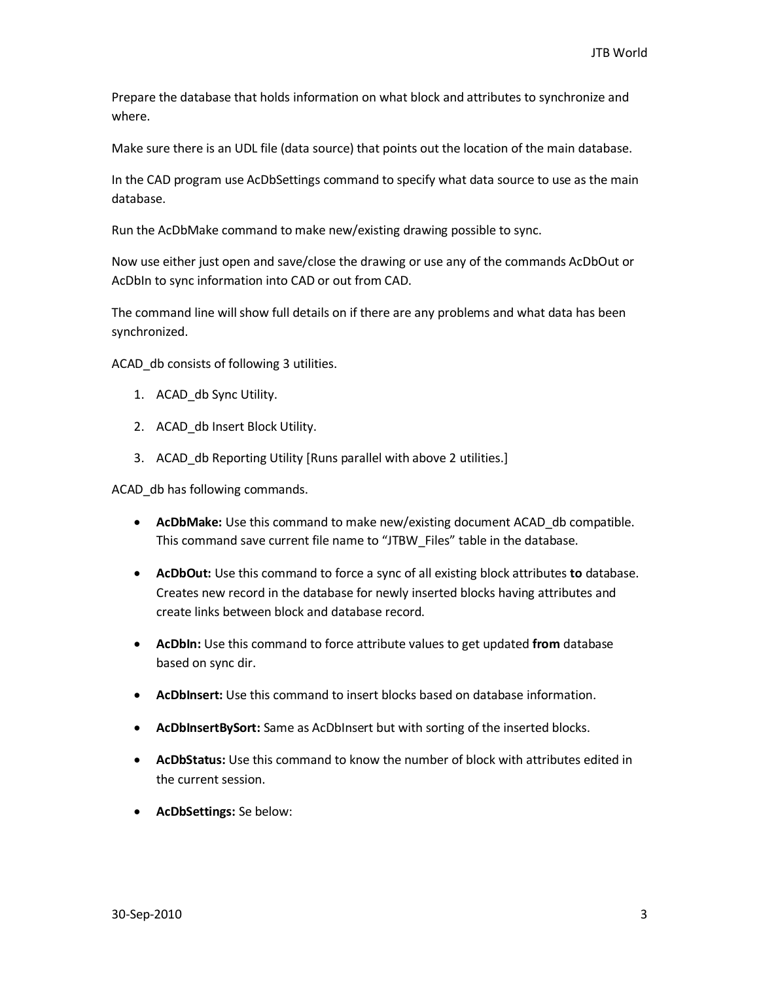Prepare the database that holds information on what block and attributes to synchronize and where.

Make sure there is an UDL file (data source) that points out the location of the main database.

In the CAD program use AcDbSettings command to specify what data source to use as the main database.

Run the AcDbMake command to make new/existing drawing possible to sync.

Now use either just open and save/close the drawing or use any of the commands AcDbOut or AcDbIn to sync information into CAD or out from CAD.

The command line will show full details on if there are any problems and what data has been synchronized.

ACAD db consists of following 3 utilities.

- 1. ACAD db Sync Utility.
- 2. ACAD db Insert Block Utility.
- 3. ACAD\_db Reporting Utility [Runs parallel with above 2 utilities.]

ACAD\_db has following commands.

- **AcDbMake:** Use this command to make new/existing document ACAD\_db compatible. This command save current file name to "JTBW\_Files" table in the database.
- **AcDbOut:** Use this command to force a sync of all existing block attributes **to** database. Creates new record in the database for newly inserted blocks having attributes and create links between block and database record.
- **AcDbIn:** Use this command to force attribute values to get updated **from** database based on sync dir.
- **AcDbInsert:** Use this command to insert blocks based on database information.
- **AcDbInsertBySort:** Same as AcDbInsert but with sorting of the inserted blocks.
- **AcDbStatus:** Use this command to know the number of block with attributes edited in the current session.
- **AcDbSettings:** Se below: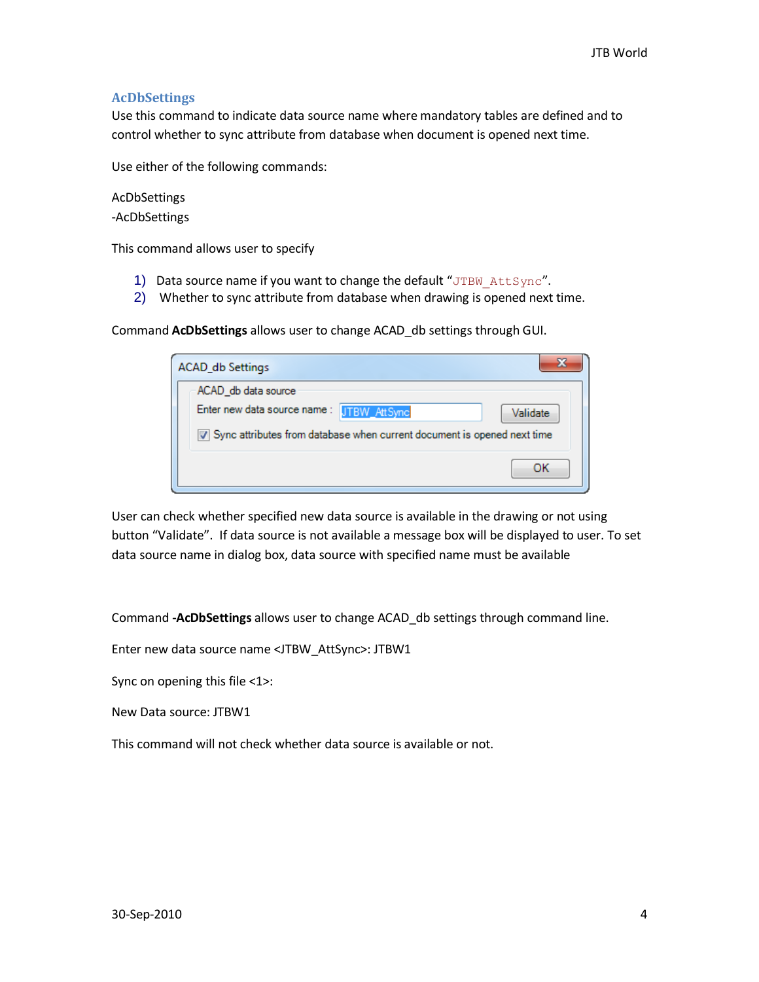## <span id="page-3-0"></span>**AcDbSettings**

Use this command to indicate data source name where mandatory tables are defined and to control whether to sync attribute from database when document is opened next time.

Use either of the following commands:

AcDbSettings -AcDbSettings

This command allows user to specify

- 1) Data source name if you want to change the default "JTBW AttSync".
- 2) Whether to sync attribute from database when drawing is opened next time.

Command **AcDbSettings** allows user to change ACAD\_db settings through GUI.

| <b>ACAD_db Settings</b>                                                   |          |
|---------------------------------------------------------------------------|----------|
| ACAD_db data source                                                       |          |
| Enter new data source name: JTBW_AttSync                                  | Validate |
| V Sync attributes from database when current document is opened next time |          |
|                                                                           | ΩК       |

User can check whether specified new data source is available in the drawing or not using button "Validate". If data source is not available a message box will be displayed to user. To set data source name in dialog box, data source with specified name must be available

Command **-AcDbSettings** allows user to change ACAD\_db settings through command line.

Enter new data source name <JTBW\_AttSync>: JTBW1

Sync on opening this file <1>:

New Data source: JTBW1

This command will not check whether data source is available or not.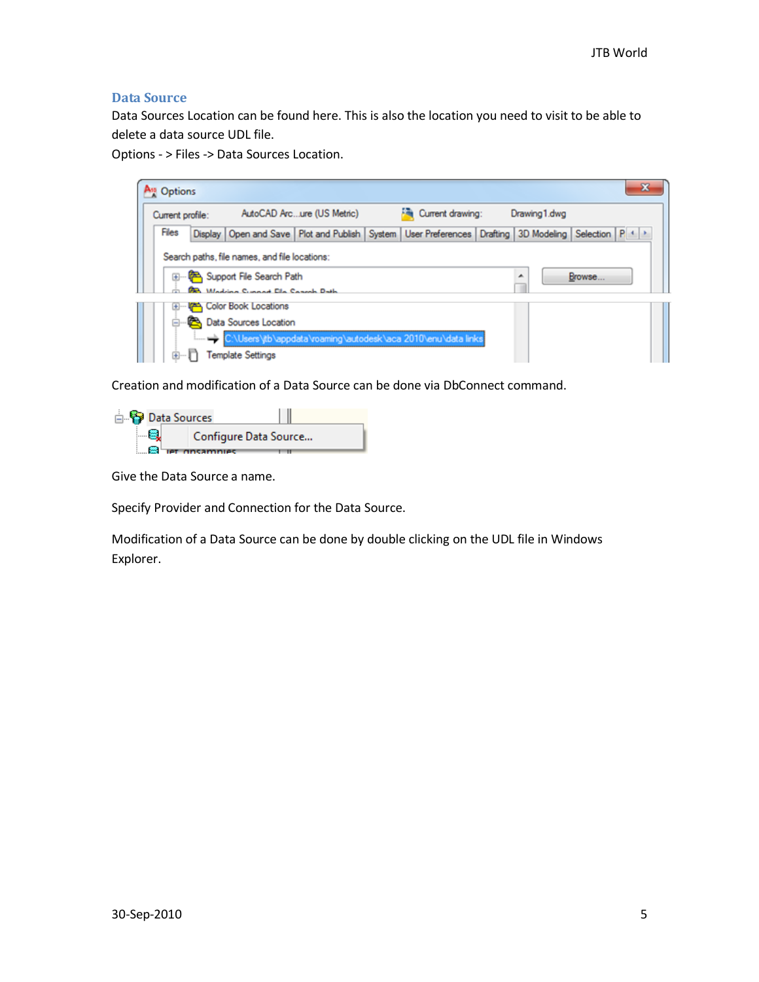## <span id="page-4-0"></span>**Data Source**

Data Sources Location can be found here. This is also the location you need to visit to be able to delete a data source UDL file.

Options - > Files -> Data Sources Location.



Creation and modification of a Data Source can be done via DbConnect command.



Give the Data Source a name.

Specify Provider and Connection for the Data Source.

Modification of a Data Source can be done by double clicking on the UDL file in Windows Explorer.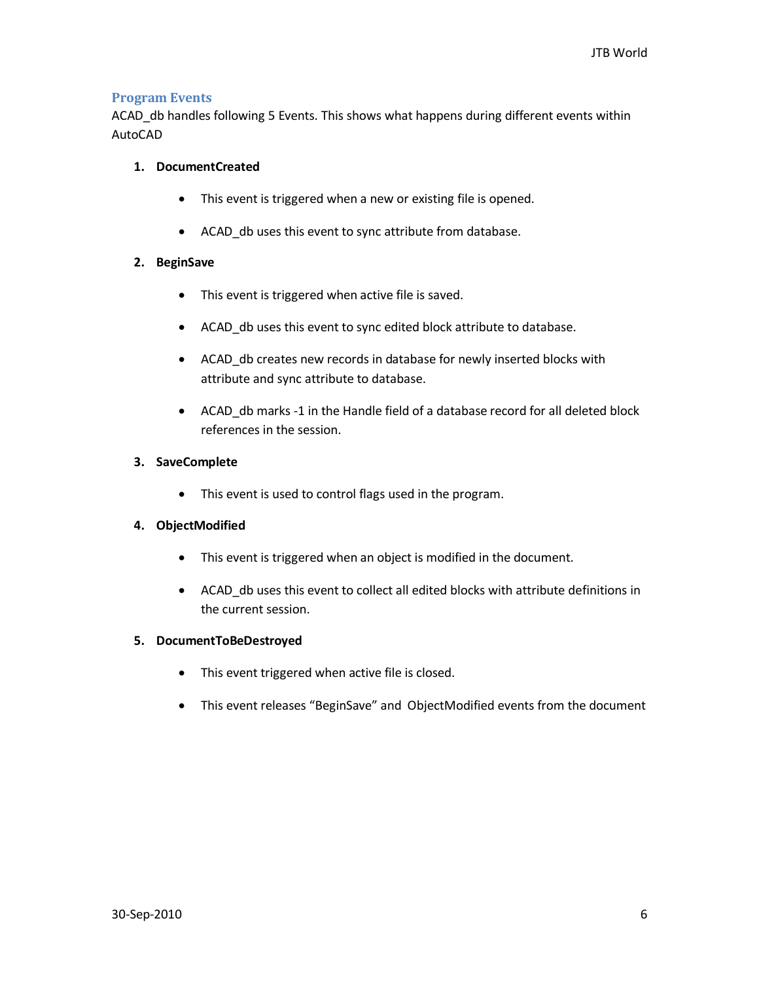## <span id="page-5-0"></span>**Program Events**

ACAD\_db handles following 5 Events. This shows what happens during different events within AutoCAD

## **1. DocumentCreated**

- This event is triggered when a new or existing file is opened.
- ACAD\_db uses this event to sync attribute from database.

## **2. BeginSave**

- This event is triggered when active file is saved.
- ACAD\_db uses this event to sync edited block attribute to database.
- ACAD db creates new records in database for newly inserted blocks with attribute and sync attribute to database.
- ACAD\_db marks -1 in the Handle field of a database record for all deleted block references in the session.

#### **3. SaveComplete**

This event is used to control flags used in the program.

## **4. ObjectModified**

- This event is triggered when an object is modified in the document.
- ACAD\_db uses this event to collect all edited blocks with attribute definitions in the current session.

#### **5. DocumentToBeDestroyed**

- This event triggered when active file is closed.
- This event releases "BeginSave" and ObjectModified events from the document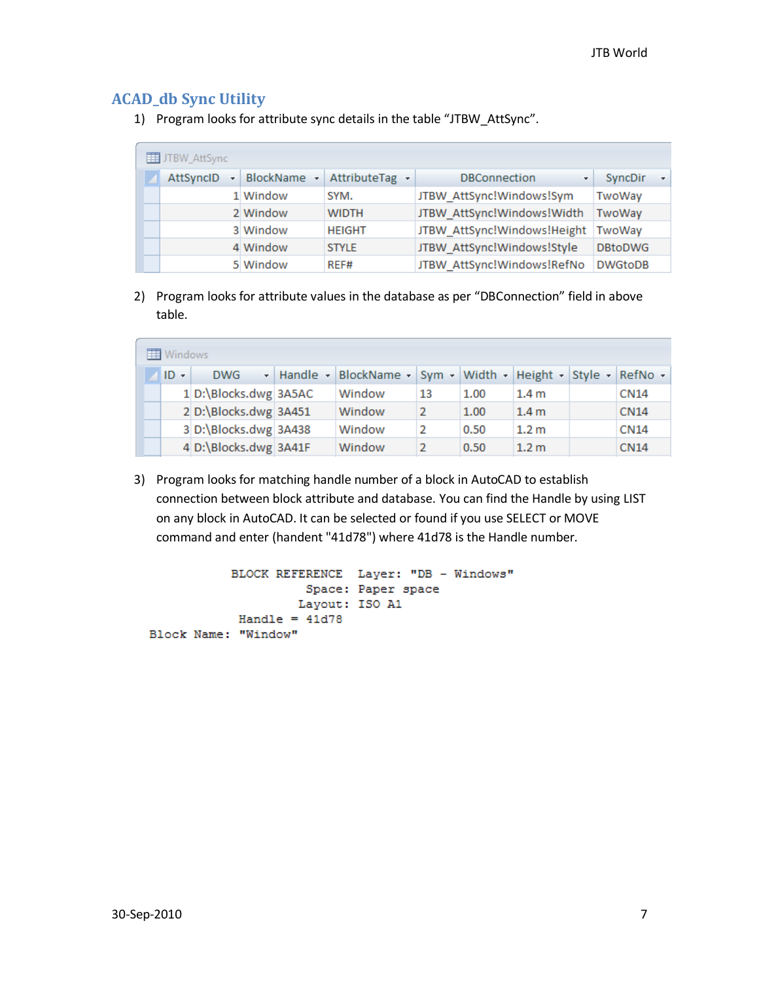## <span id="page-6-0"></span>**ACAD\_db Sync Utility**

1) Program looks for attribute sync details in the table "JTBW\_AttSync".

| JTBW_AttSync |   |             |                |                             |                |    |
|--------------|---|-------------|----------------|-----------------------------|----------------|----|
| AttSyncID    | ÷ | BlockName - | AttributeTag - | <b>DBConnection</b><br>٠    | SyncDir        | ÷. |
|              |   | 1 Window    | SYM.           | JTBW AttSync!Windows!Sym    | TwoWay         |    |
|              |   | 2 Window    | <b>WIDTH</b>   | JTBW AttSync!Windows!Width  | TwoWay         |    |
|              |   | 3 Window    | <b>HEIGHT</b>  | JTBW AttSync!Windows!Height | TwoWav         |    |
|              |   | 4 Window    | <b>STYLE</b>   | JTBW AttSync!Windows!Style  | <b>DBtoDWG</b> |    |
|              |   | 5 Window    | REF#           | JTBW AttSync!Windows!RefNo  | <b>DWGtoDB</b> |    |

2) Program looks for attribute values in the database as per "DBConnection" field in above table.

| Windows |                       |  |                                                               |    |      |                  |  |             |
|---------|-----------------------|--|---------------------------------------------------------------|----|------|------------------|--|-------------|
| $ID -$  | <b>DWG</b>            |  | - Handle - BlockName - Sym - Width - Height - Style - RefNo - |    |      |                  |  |             |
|         | 1 D:\Blocks.dwg 3A5AC |  | Window                                                        | 13 | 1.00 | 1.4 <sub>m</sub> |  | <b>CN14</b> |
|         | 2 D:\Blocks.dwg 3A451 |  | Window                                                        | 2  | 1.00 | 1.4 <sub>m</sub> |  | <b>CN14</b> |
|         | 3 D:\Blocks.dwg 3A438 |  | Window                                                        | 2  | 0.50 | 1.2 <sub>m</sub> |  | <b>CN14</b> |
|         | 4 D:\Blocks.dwg 3A41F |  | Window                                                        | 2  | 0.50 | 1.2 <sub>m</sub> |  | <b>CN14</b> |

3) Program looks for matching handle number of a block in AutoCAD to establish connection between block attribute and database. You can find the Handle by using LIST on any block in AutoCAD. It can be selected or found if you use SELECT or MOVE command and enter (handent "41d78") where 41d78 is the Handle number.

```
BLOCK REFERENCE Layer: "DB - Windows"
         Space: Paper space
        Layout: ISO A1
Handle = 41d78Block Name: "Window"
```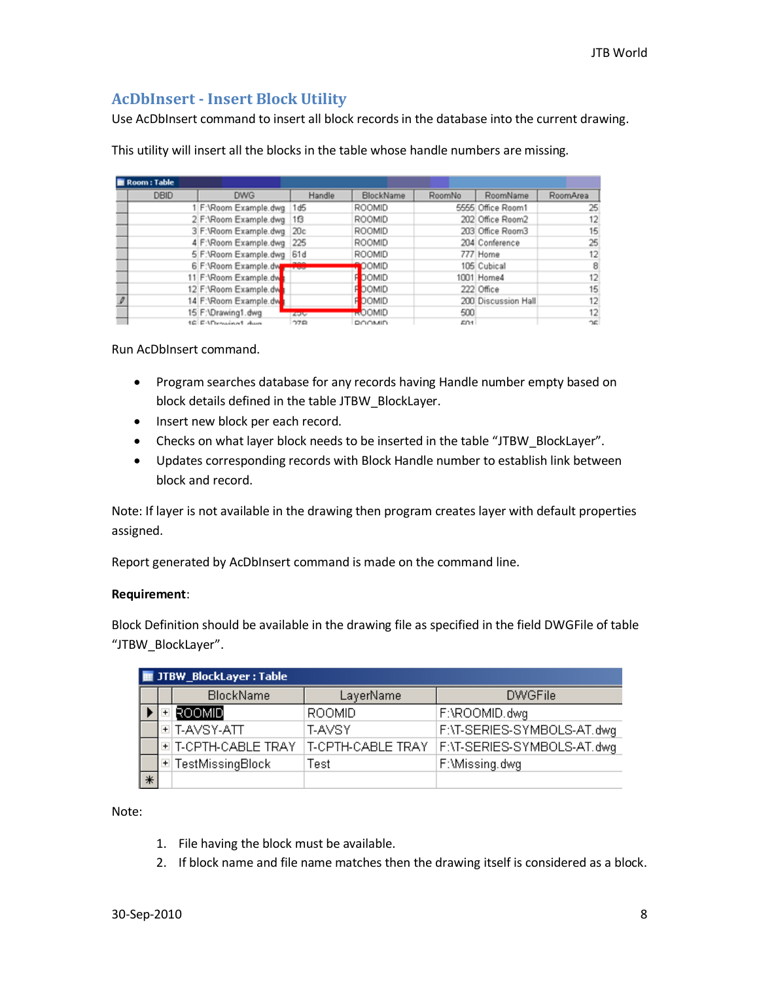## <span id="page-7-0"></span>**AcDbInsert - Insert Block Utility**

Use AcDbInsert command to insert all block records in the database into the current drawing.

This utility will insert all the blocks in the table whose handle numbers are missing.

| Room : Table |                            |                   |               |        |                     |          |
|--------------|----------------------------|-------------------|---------------|--------|---------------------|----------|
| <b>DBID</b>  | <b>DWG</b>                 | Handle            | BlockName     | RoomNo | RoomName            | RoomArea |
|              | 1 F: \Room Example.dwg 1d5 |                   | ROOMID        |        | 5555 Office Room1   | 25       |
|              | 2 F:\Room Example.dwg      | 16                | ROOMID        |        | 202 Office Room2    | 12       |
|              | 3 F:\Room Example.dwg      | 20c               | ROOMID        |        | 203 Office Room3    | 15       |
|              | 4 F:\Room Example.dwg      | 225               | ROOMID        |        | 204 Conference      | 25       |
|              | 5 F:\Room Example.dwg      | 61d               | ROOMID        |        | 777 Home            | 12       |
|              | 6 F:\Room Example.dw       | <b>The Second</b> | OOMID         |        | 105 Cubical         | 8        |
|              | 11 F:\Room Example.dw      |                   | <b>FOOMID</b> |        | 1001 Home4          | 12       |
|              | 12 F:\Room Example.dw      |                   | <b>FOOMID</b> |        | 222 Office          | 15       |
|              | 14 F:\Room Example.dw      |                   | <b>FOOMID</b> |        | 200 Discussion Hall | 12       |
|              | 15 F:\Drawing1.dwg         | 434               | <b>ROOMID</b> | 500    |                     | 12       |
|              | 18 EADroughed dues         | 27R               | <b>DOOMID</b> | En1    |                     | ጎድ       |

Run AcDbInsert command.

- Program searches database for any records having Handle number empty based on block details defined in the table JTBW\_BlockLayer.
- Insert new block per each record.
- Checks on what layer block needs to be inserted in the table "JTBW\_BlockLayer".
- Updates corresponding records with Block Handle number to establish link between block and record.

Note: If layer is not available in the drawing then program creates layer with default properties assigned.

Report generated by AcDbInsert command is made on the command line.

#### **Requirement**:

Block Definition should be available in the drawing file as specified in the field DWGFile of table "JTBW\_BlockLayer".

|        | <b>THE JTBW_BlockLayer: Table</b> |                    |                   |                            |  |  |  |  |  |  |
|--------|-----------------------------------|--------------------|-------------------|----------------------------|--|--|--|--|--|--|
|        |                                   | <b>BlockName</b>   | LayerName         | <b>DWGFile</b>             |  |  |  |  |  |  |
|        |                                   | ROOMID             | <b>ROOMID</b>     | F:\ROOMID.dwg              |  |  |  |  |  |  |
|        |                                   | '비T-AVSY-ATT       | T-AVSY            | F:\T-SERIES-SYMBOLS-AT.dwg |  |  |  |  |  |  |
|        |                                   | 国T-CPTH-CABLE TRAY | T-CPTH-CABLE TRAY | F:\T-SERIES-SYMBOLS-AT.dwg |  |  |  |  |  |  |
|        |                                   | 国 TestMissingBlock | Test              | F:\Missing.dwg             |  |  |  |  |  |  |
| $\ast$ |                                   |                    |                   |                            |  |  |  |  |  |  |

Note:

- 1. File having the block must be available.
- 2. If block name and file name matches then the drawing itself is considered as a block.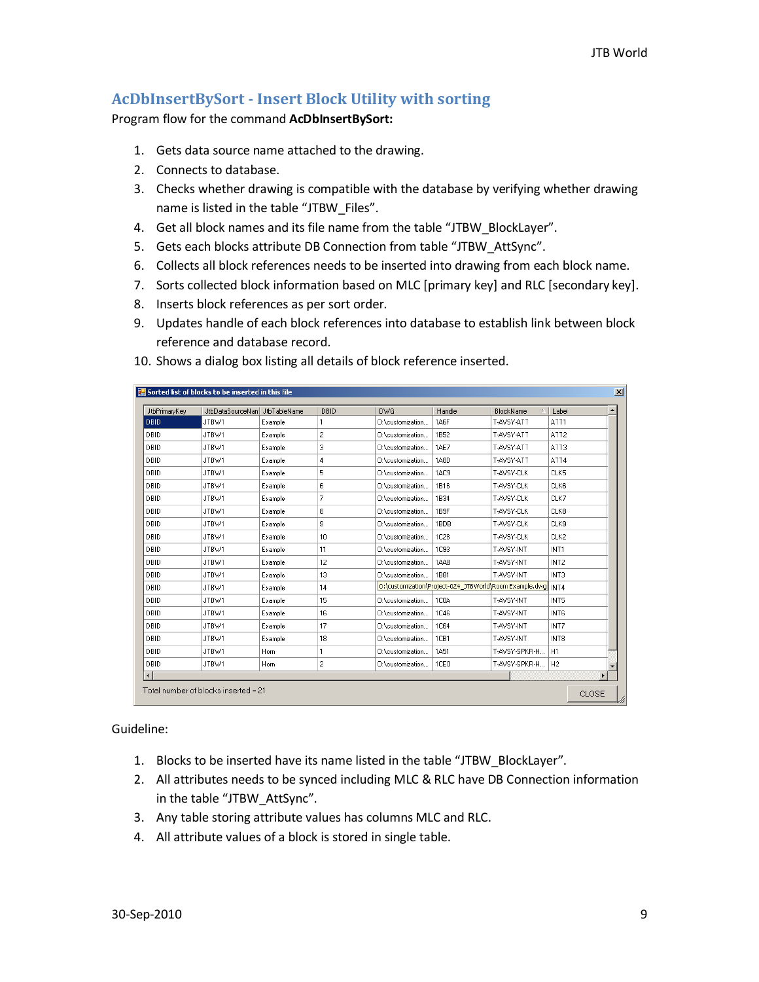## <span id="page-8-0"></span>**AcDbInsertBySort - Insert Block Utility with sorting**

Program flow for the command **AcDbInsertBySort:**

- 1. Gets data source name attached to the drawing.
- 2. Connects to database.
- 3. Checks whether drawing is compatible with the database by verifying whether drawing name is listed in the table "JTBW\_Files".
- 4. Get all block names and its file name from the table "JTBW\_BlockLayer".
- 5. Gets each blocks attribute DB Connection from table "JTBW\_AttSync".
- 6. Collects all block references needs to be inserted into drawing from each block name.
- 7. Sorts collected block information based on MLC [primary key] and RLC [secondary key].
- 8. Inserts block references as per sort order.
- 9. Updates handle of each block references into database to establish link between block reference and database record.

| JtbPrimaryKey          | JtbDataSourceNam | JtbTableName | DBID | <b>DWG</b>       | Handle            | BlockName<br>$\mathcal{L}_{\mathcal{A}}$                      | Label            |  |
|------------------------|------------------|--------------|------|------------------|-------------------|---------------------------------------------------------------|------------------|--|
| I DBID.                | JTBW1            | Example      | 1    | 0:\customization | 1A <sub>6</sub> F | T-AVSY-ATT                                                    | ATT1             |  |
| DBID                   | JTBW1            | Example      | 2    | 0:\customization | 1852              | T-AVSY-ATT                                                    | ATT <sub>2</sub> |  |
| DBID                   | JTBW1            | Example      | 3    | 0:\customization | <b>1AE7</b>       | T-AVSY-ATT                                                    | ATT3             |  |
| DBID                   | JTBW1            | Example      | 4    | 0:\customization | 1A8D              | T-AVSY-ATT                                                    | ATT4             |  |
| DBID                   | JTBW1            | Example      | 5    | 0:\customization | 1AC <sub>9</sub>  | T-AVSY-CLK                                                    | CLK5             |  |
| DBID                   | JTBW1            | Example      | 6    | 0:\customization | 1816              | T-AVSY-CLK                                                    | CLK6             |  |
| DBID                   | JTBW1            | Example      | 7    | 0:\customization | 1B34              | T-AVSY-CLK                                                    | CLK7             |  |
| DBID                   | JTBW1            | Example      | 8    | 0:\customization | 1B <sub>9F</sub>  | T-AVSY-CLK                                                    | CLK8             |  |
| DBID                   | JTBW1            | Example      | 9    | 0:\customization | 1BDB              | T-AVSY-CLK                                                    | CLK9             |  |
| DBID                   | JTBW1            | Example      | 10   | 0:\customization | 1C28              | T-AVSY-CLK                                                    | CLK2             |  |
| DBID                   | JTBW1            | Example      | 11   | 0:\customization | 1093              | T-AVSY-INT                                                    | INT1             |  |
| DBID                   | JTBW1            | Example      | 12   | 0:\customization | 1AAB              | T-AVSY-INT                                                    | INT <sub>2</sub> |  |
| DBID                   | JTBW1            | Example      | 13   | 0:\customization | 1881              | T-AVSY-INT                                                    | INT3             |  |
| DBID                   | JTBW1            | Example      | 14   |                  |                   | O:\customization\Project-024_JTBWorld\Room Example.dwg   INT4 |                  |  |
| DBID                   | JTBW1            | Example      | 15   | 0:\customization | <b>1C0A</b>       | T-AVSY-INT                                                    | INT5             |  |
| DBID                   | JTBW1            | Example      | 16   | 0:\customization | <b>1C46</b>       | T-AVSY-INT                                                    | INT6             |  |
| DBID                   | JTBW1            | Example      | 17   | 0:\customization | <b>1C64</b>       | T-AVSY-INT                                                    | INT7             |  |
| DBID                   | JTBW1            | Example      | 18   | 0:\customization | 1CB1              | T-AVSY-INT                                                    | INT <sub>8</sub> |  |
| DBID                   | JTBW1            | Horn         | 1    | 0:\customization | <b>1A51</b>       | T-AVSY-SPKR-H                                                 | H1               |  |
| DBID                   | JTBW1            | Horn         | 2    | 0:\customization | 1CE <sub>0</sub>  | T-AVSY-SPKR-H                                                 | H <sub>2</sub>   |  |
| $\left  \cdot \right $ |                  |              |      |                  |                   |                                                               |                  |  |

10. Shows a dialog box listing all details of block reference inserted.

Guideline:

- 1. Blocks to be inserted have its name listed in the table "JTBW\_BlockLayer".
- 2. All attributes needs to be synced including MLC & RLC have DB Connection information in the table "JTBW\_AttSync".
- 3. Any table storing attribute values has columns MLC and RLC.
- 4. All attribute values of a block is stored in single table.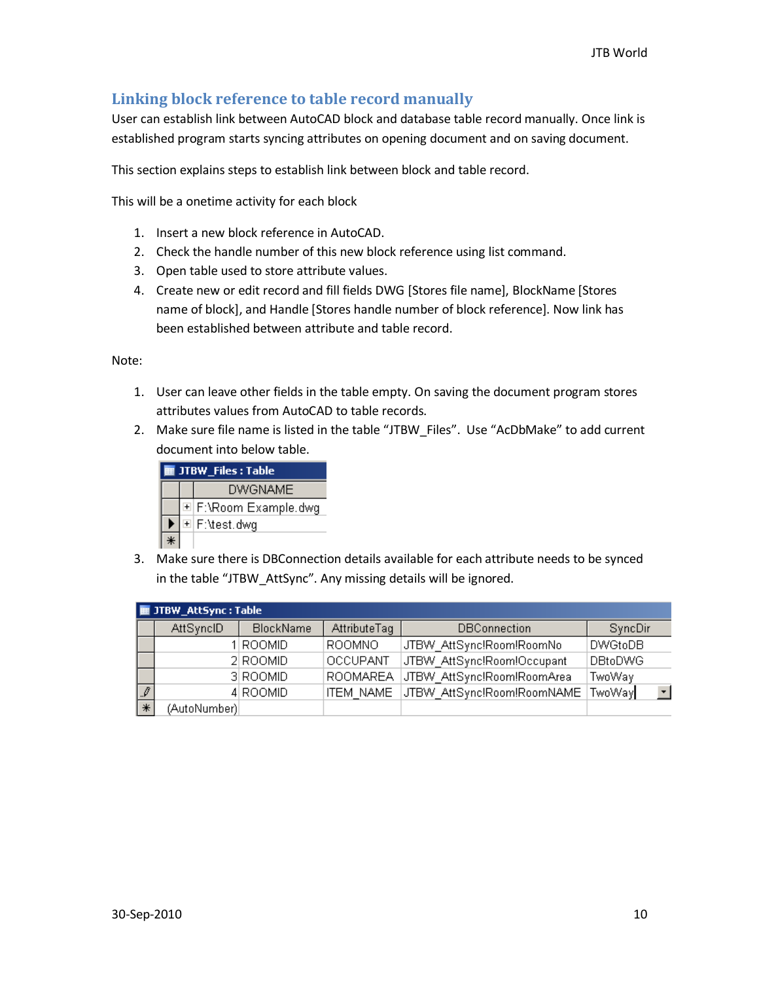## <span id="page-9-0"></span>**Linking block reference to table record manually**

User can establish link between AutoCAD block and database table record manually. Once link is established program starts syncing attributes on opening document and on saving document.

This section explains steps to establish link between block and table record.

This will be a onetime activity for each block

- 1. Insert a new block reference in AutoCAD.
- 2. Check the handle number of this new block reference using list command.
- 3. Open table used to store attribute values.
- 4. Create new or edit record and fill fields DWG [Stores file name], BlockName [Stores name of block], and Handle [Stores handle number of block reference]. Now link has been established between attribute and table record.

Note:

- 1. User can leave other fields in the table empty. On saving the document program stores attributes values from AutoCAD to table records.
- 2. Make sure file name is listed in the table "JTBW\_Files". Use "AcDbMake" to add current document into below table.

| <b>E JTBW_Files</b> : Table |                |                       |  |  |  |  |
|-----------------------------|----------------|-----------------------|--|--|--|--|
|                             | <b>DWGNAME</b> |                       |  |  |  |  |
|                             |                | © F:\Room Example.dwg |  |  |  |  |
|                             |                | © F:\test.dwg         |  |  |  |  |
|                             |                |                       |  |  |  |  |

3. Make sure there is DBConnection details available for each attribute needs to be synced in the table "JTBW\_AttSync". Any missing details will be ignored.

|               | ■ JTBW_AttSync : Table |                  |                  |                            |                   |  |  |  |  |
|---------------|------------------------|------------------|------------------|----------------------------|-------------------|--|--|--|--|
|               | AttSyncID              | <b>BlockName</b> | AttributeTag     | <b>DBConnection</b>        | <b>SyncDir</b>    |  |  |  |  |
|               |                        | 1 ROOMID         | ROOMNO           | JTBW AttSync!Room!RoomNo   | <b>DWGtoDB</b>    |  |  |  |  |
|               |                        | 2 ROOMID         | <b>OCCUPANT</b>  | JTBW AttSync!Room!Occupant | DBtoDWG           |  |  |  |  |
|               |                        | 3 ROOMID         | <b>ROOMAREA</b>  | JTBW AttSync!Room!RoomArea | TwoWay            |  |  |  |  |
| $\mathcal{I}$ |                        | 4 ROOMID         | <b>ITEM NAME</b> | JTBW_AttSync!Room!RoomNAME | $\vert$<br>TwoWay |  |  |  |  |
| $*$           | (AutoNumber)           |                  |                  |                            |                   |  |  |  |  |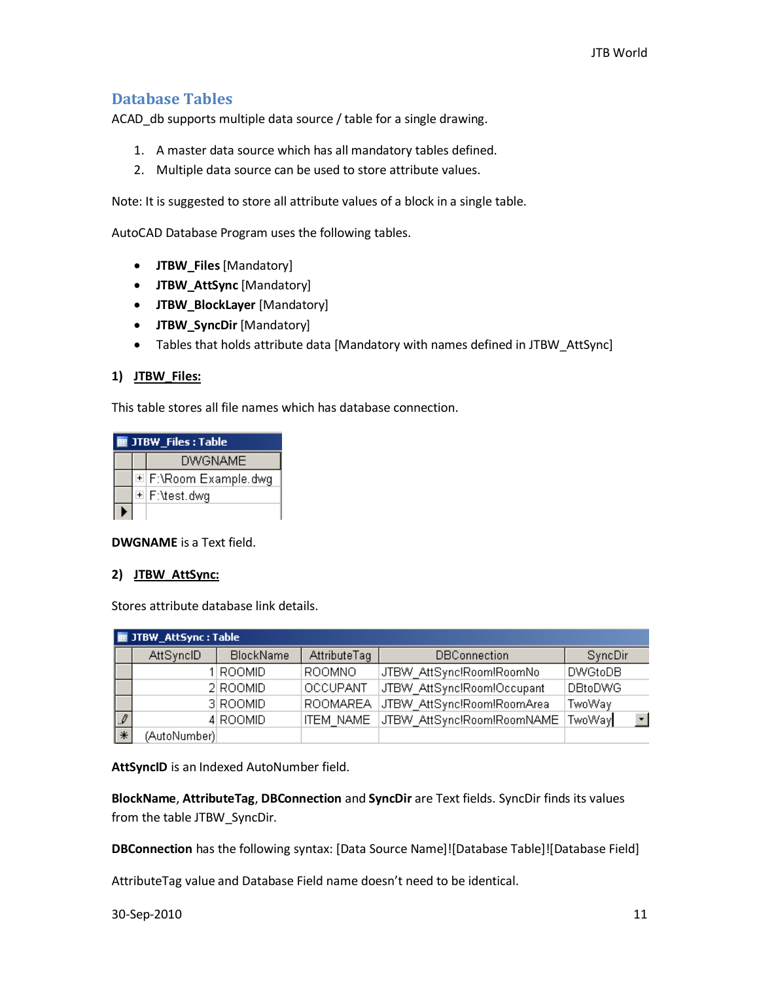## <span id="page-10-0"></span>**Database Tables**

ACAD\_db supports multiple data source / table for a single drawing.

- 1. A master data source which has all mandatory tables defined.
- 2. Multiple data source can be used to store attribute values.

Note: It is suggested to store all attribute values of a block in a single table.

AutoCAD Database Program uses the following tables.

- **JTBW\_Files**[Mandatory]
- **JTBW\_AttSync** [Mandatory]
- **JTBW\_BlockLayer** [Mandatory]
- **JTBW\_SyncDir** [Mandatory]
- Tables that holds attribute data [Mandatory with names defined in JTBW\_AttSync]

#### **1) JTBW\_Files:**

This table stores all file names which has database connection.

| <b>TE JTBW Files : Table</b> |  |                       |  |  |  |
|------------------------------|--|-----------------------|--|--|--|
|                              |  | <b>DWGNAME</b>        |  |  |  |
|                              |  | 페 F:\Room Example.dwg |  |  |  |
|                              |  | © F:\test.dwg         |  |  |  |
|                              |  |                       |  |  |  |

**DWGNAME** is a Text field.

#### **2) JTBW\_AttSync:**

Stores attribute database link details.

|                          | ■ JTBW_AttSync : Table |                  |                  |                            |                               |  |  |  |  |
|--------------------------|------------------------|------------------|------------------|----------------------------|-------------------------------|--|--|--|--|
|                          | AttSyncID              | <b>BlockName</b> | AttributeTag     | <b>DBConnection</b>        | SyncDir                       |  |  |  |  |
|                          |                        | 1 ROOMID         | ROOMNO           | JTBW AttSync!Room!RoomNo   | DWGtoDB                       |  |  |  |  |
|                          |                        | 2 ROOMID         | <b>OCCUPANT</b>  | JTBW AttSync!Room!Occupant | DBtoDWG                       |  |  |  |  |
|                          |                        | 3 ROOMID         | <b>ROOMAREA</b>  | JTBW AttSync!Room!RoomArea | TwoWay                        |  |  |  |  |
| $\overline{\mathscr{I}}$ |                        | 4 ROOMID         | <b>ITEM NAME</b> | JTBW AttSync!Room!RoomNAME | $\vert \cdot \vert$<br>TwoWay |  |  |  |  |
| $\ast$                   | (AutoNumber)           |                  |                  |                            |                               |  |  |  |  |

**AttSyncID** is an Indexed AutoNumber field.

**BlockName**, **AttributeTag**, **DBConnection** and **SyncDir** are Text fields. SyncDir finds its values from the table JTBW\_SyncDir.

**DBConnection** has the following syntax: [Data Source Name]![Database Table]![Database Field]

AttributeTag value and Database Field name doesn't need to be identical.

30-Sep-2010 11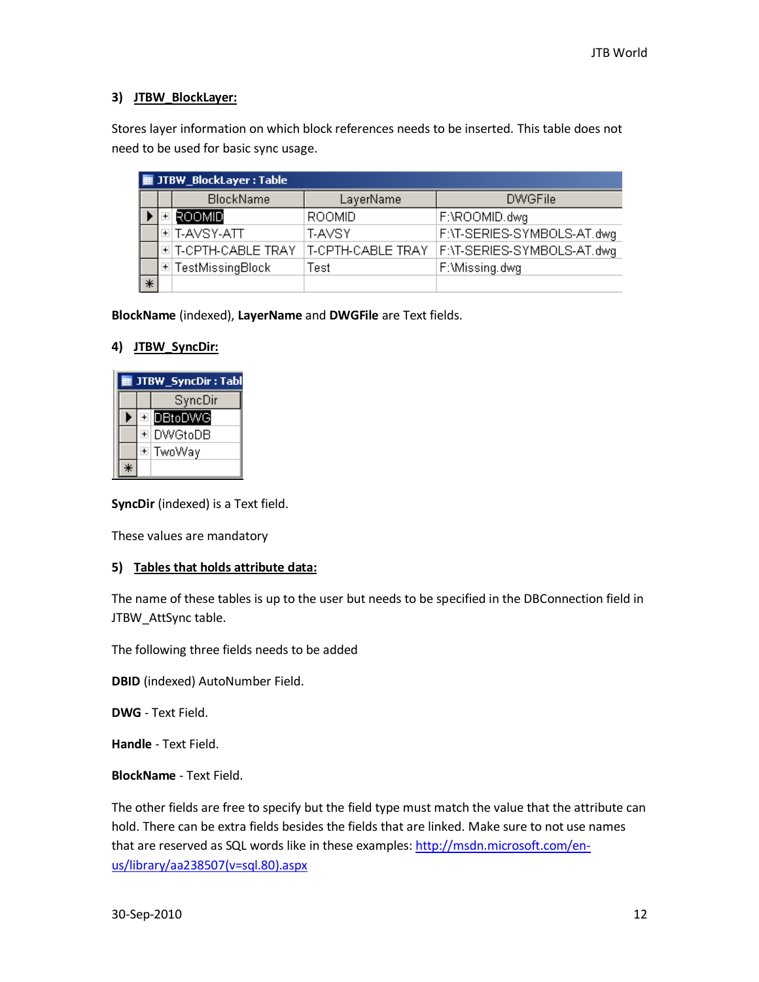## **3) JTBW\_BlockLayer:**

Stores layer information on which block references needs to be inserted. This table does not need to be used for basic sync usage.

|        | <b>E JTBW_BlockLayer: Table</b> |                    |                   |                            |  |  |  |  |  |  |
|--------|---------------------------------|--------------------|-------------------|----------------------------|--|--|--|--|--|--|
|        |                                 | <b>BlockName</b>   | LayerName         | <b>DWGFile</b>             |  |  |  |  |  |  |
|        |                                 | ROOMID             | <b>ROOMID</b>     | F:\ROOMID.dwg              |  |  |  |  |  |  |
|        |                                 | 비T-AVSY-ATT        | T-AVSY            | F:\T-SERIES-SYMBOLS-AT.dwg |  |  |  |  |  |  |
|        |                                 | 페T-CPTH-CABLE TRAY | T-CPTH-CABLE TRAY | F:\T-SERIES-SYMBOLS-AT.dwg |  |  |  |  |  |  |
|        |                                 | 国 TestMissingBlock | Test              | F:\Missing.dwg             |  |  |  |  |  |  |
| $\ast$ |                                 |                    |                   |                            |  |  |  |  |  |  |

**BlockName** (indexed), **LayerName** and **DWGFile** are Text fields.

#### **4) JTBW\_SyncDir:**

| JTBW_SyncDir: Tabl |         |     |                   |
|--------------------|---------|-----|-------------------|
|                    | SyncDir |     |                   |
|                    |         |     | <b>EN</b> DBtoDWG |
|                    |         | $+$ | <b>DWGtoDB</b>    |
|                    |         |     | ⊡  TwoWaγ         |
|                    |         |     |                   |

**SyncDir** (indexed) is a Text field.

These values are mandatory

#### **5) Tables that holds attribute data:**

The name of these tables is up to the user but needs to be specified in the DBConnection field in JTBW\_AttSync table.

The following three fields needs to be added

**DBID** (indexed) AutoNumber Field.

**DWG** - Text Field.

**Handle** - Text Field.

**BlockName** - Text Field.

The other fields are free to specify but the field type must match the value that the attribute can hold. There can be extra fields besides the fields that are linked. Make sure to not use names that are reserved as SQL words like in these examples: [http://msdn.microsoft.com/en](http://msdn.microsoft.com/en-us/library/aa238507(v=sql.80).aspx)[us/library/aa238507\(v=sql.80\).aspx](http://msdn.microsoft.com/en-us/library/aa238507(v=sql.80).aspx)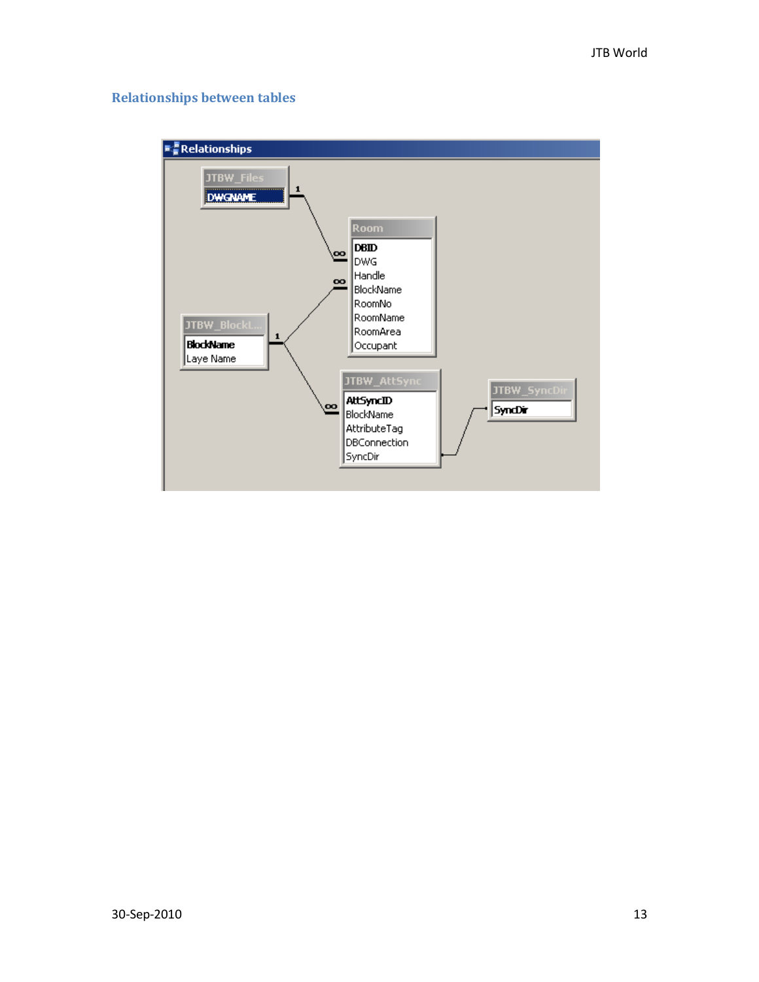## <span id="page-12-0"></span>**Relationships between tables**

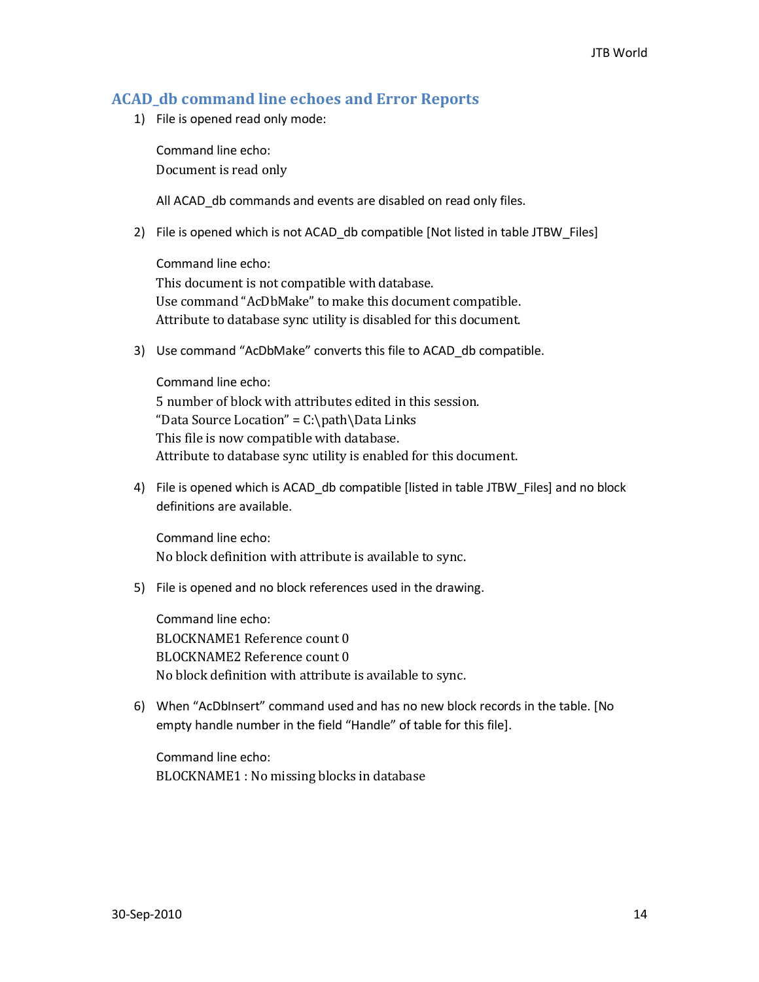## <span id="page-13-0"></span>**ACAD\_db command line echoes and Error Reports**

1) File is opened read only mode:

Command line echo: Document is read only

All ACAD db commands and events are disabled on read only files.

2) File is opened which is not ACAD\_db compatible [Not listed in table JTBW\_Files]

Command line echo: This document is not compatible with database. Use command "AcDbMake" to make this document compatible. Attribute to database sync utility is disabled for this document.

3) Use command "AcDbMake" converts this file to ACAD\_db compatible.

Command line echo: 5 number of block with attributes edited in this session. "Data Source Location" =  $C:\path\Data\ Links$ This file is now compatible with database. Attribute to database sync utility is enabled for this document.

4) File is opened which is ACAD\_db compatible [listed in table JTBW\_Files] and no block definitions are available.

Command line echo: No block definition with attribute is available to sync.

5) File is opened and no block references used in the drawing.

Command line echo: BLOCKNAME1 Reference count 0 BLOCKNAME2 Reference count 0 No block definition with attribute is available to sync.

6) When "AcDbInsert" command used and has no new block records in the table. [No empty handle number in the field "Handle" of table for this file].

Command line echo: BLOCKNAME1 : No missing blocks in database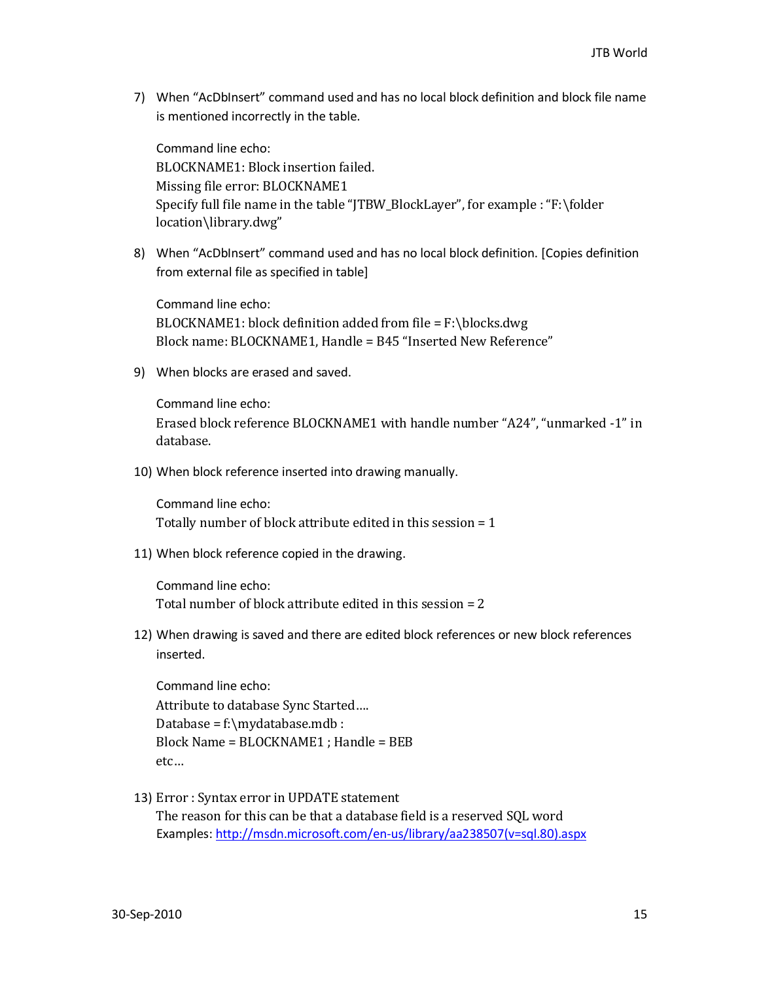7) When "AcDbInsert" command used and has no local block definition and block file name is mentioned incorrectly in the table.

Command line echo: BLOCKNAME1: Block insertion failed. Missing file error: BLOCKNAME1 Specify full file name in the table "JTBW\_BlockLayer", for example : "F:\folder location\library.dwg"

8) When "AcDbInsert" command used and has no local block definition. [Copies definition from external file as specified in table]

Command line echo:  $BLOCKNAME1: block definition added from file = F:\b{block.}dwg$ Block name: BLOCKNAME1, Handle = B45 "Inserted New Reference"

9) When blocks are erased and saved.

Command line echo: Erased block reference BLOCKNAME1 with handle number "A24", "unmarked -1" in database.

10) When block reference inserted into drawing manually.

Command line echo: Totally number of block attribute edited in this session = 1

11) When block reference copied in the drawing.

Command line echo: Total number of block attribute edited in this session = 2

12) When drawing is saved and there are edited block references or new block references inserted.

Command line echo: Attribute to database Sync Started…. Database = f:\mydatabase.mdb : Block Name = BLOCKNAME1 ; Handle = BEB etc…

13) Error : Syntax error in UPDATE statement The reason for this can be that a database field is a reserved SQL word Examples[: http://msdn.microsoft.com/en-us/library/aa238507\(v=sql.80\).aspx](http://msdn.microsoft.com/en-us/library/aa238507(v=sql.80).aspx)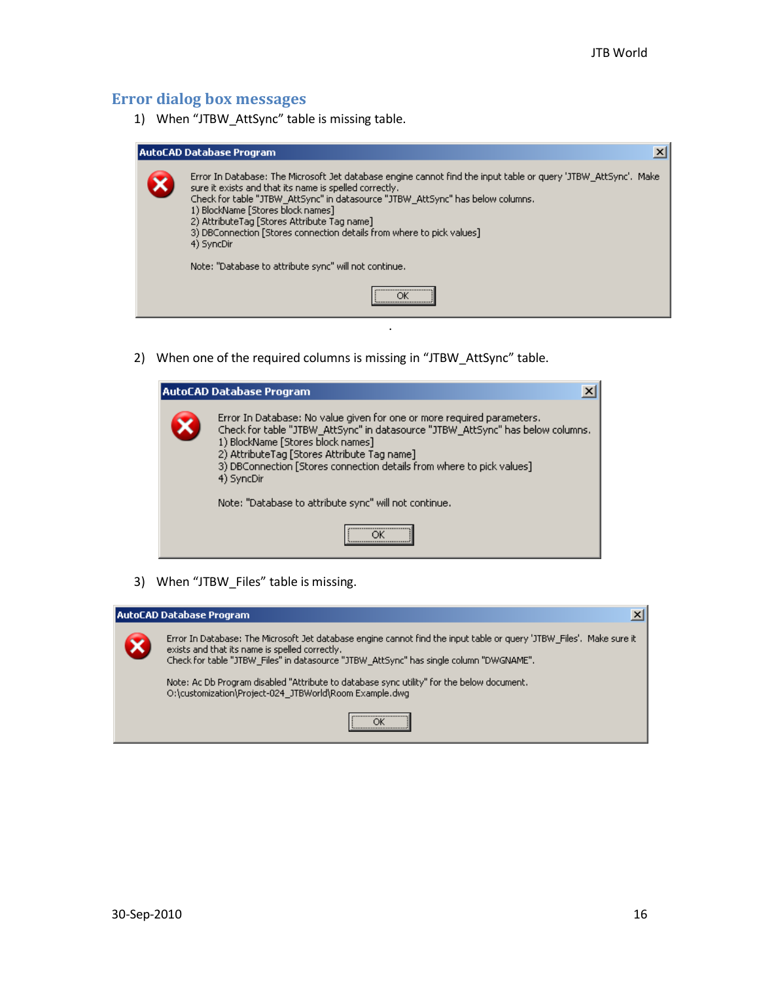## <span id="page-15-0"></span>**Error dialog box messages**

1) When "JTBW\_AttSync" table is missing table.

| AutoCAD Database Program                                                                                                                                                                                                                                                                                                                                                                                                               |
|----------------------------------------------------------------------------------------------------------------------------------------------------------------------------------------------------------------------------------------------------------------------------------------------------------------------------------------------------------------------------------------------------------------------------------------|
| Error In Database: The Microsoft Jet database engine cannot find the input table or query 'JTBW' AttSync', Make<br>sure it exists and that its name is spelled correctly.<br>Check for table "JTBW AttSync" in datasource "JTBW AttSync" has below columns.<br>1) BlockName [Stores block names]<br>2) AttributeTag [Stores Attribute Tag name]<br>3) DBConnection [Stores connection details from where to pick values]<br>4) SyncDir |
| Note: "Database to attribute sync" will not continue.                                                                                                                                                                                                                                                                                                                                                                                  |
| <br>                                                                                                                                                                                                                                                                                                                                                                                                                                   |

.

2) When one of the required columns is missing in "JTBW\_AttSync" table.

| ×<br>AutoCAD Database Program                                                                                                                                                                                                                                                                                                       |
|-------------------------------------------------------------------------------------------------------------------------------------------------------------------------------------------------------------------------------------------------------------------------------------------------------------------------------------|
| Error In Database: No value given for one or more required parameters.<br>Check for table "JTBW_AttSync" in datasource "JTBW_AttSync" has below columns.<br>1) BlockName [Stores block names]<br>2) AttributeTag [Stores Attribute Tag name]<br>3) DBConnection [Stores connection details from where to pick values]<br>4) SyncDir |
| Note: "Database to attribute sync" will not continue.                                                                                                                                                                                                                                                                               |
|                                                                                                                                                                                                                                                                                                                                     |

3) When "JTBW\_Files" table is missing.

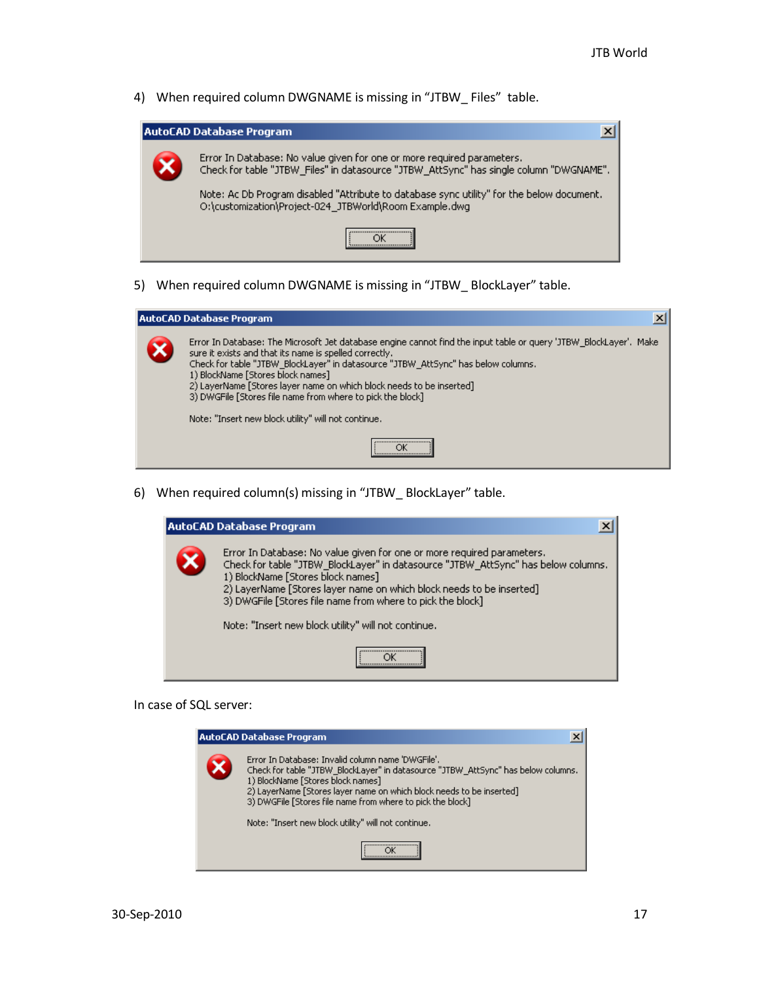4) When required column DWGNAME is missing in "JTBW Files" table.

| AutoCAD Database Program |                                                                                                                                                                  |
|--------------------------|------------------------------------------------------------------------------------------------------------------------------------------------------------------|
|                          | Error In Database: No value given for one or more required parameters.<br>Check for table "JTBW_Files" in datasource "JTBW_AttSync" has single column "DWGNAME". |
|                          | Note: Ac Db Program disabled "Attribute to database sync utility" for the below document.<br>O:\customization\Project-024_JTBWorld\Room Example.dwg              |
|                          |                                                                                                                                                                  |

5) When required column DWGNAME is missing in "JTBW\_ BlockLayer" table.



6) When required column(s) missing in "JTBW\_ BlockLayer" table.



In case of SQL server:

| <b>AutoCAD Database Program</b><br>×                                                                                                                                                                                                                                                                              |
|-------------------------------------------------------------------------------------------------------------------------------------------------------------------------------------------------------------------------------------------------------------------------------------------------------------------|
| Error In Database: Invalid column name 'DWGFile'.<br>Check for table "JTBW BlockLayer" in datasource "JTBW AttSync" has below columns.<br>1) BlockName [Stores block names]<br>2) LayerName [Stores layer name on which block needs to be inserted]<br>3) DWGFile [Stores file name from where to pick the block] |
| Note: "Insert new block utility" will not continue.                                                                                                                                                                                                                                                               |
|                                                                                                                                                                                                                                                                                                                   |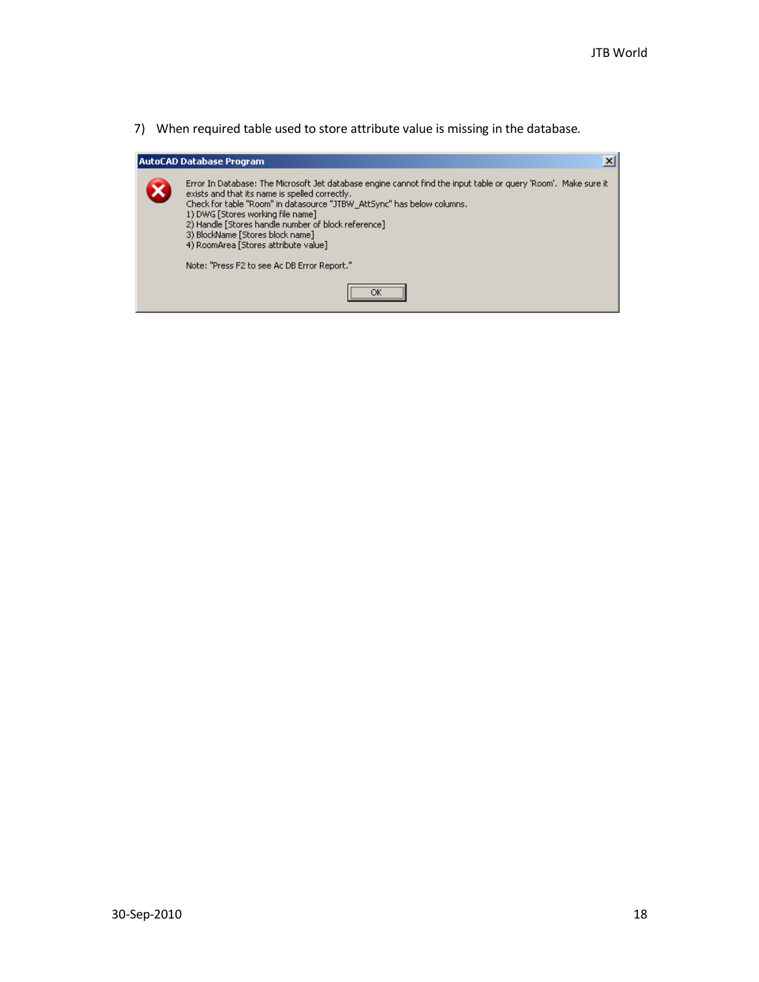7) When required table used to store attribute value is missing in the database.

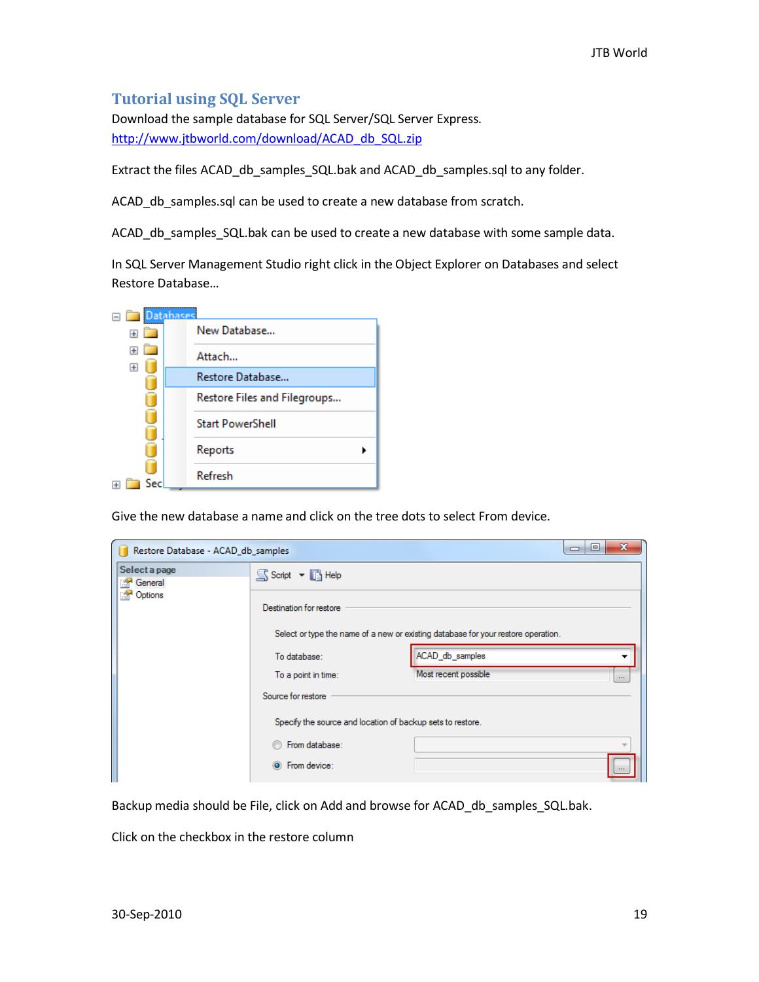## <span id="page-18-0"></span>**Tutorial using SQL Server**

Download the sample database for SQL Server/SQL Server Express. [http://www.jtbworld.com/download/ACAD\\_db\\_SQL.zip](http://www.jtbworld.com/download/ACAD_db_SQL.zip)

Extract the files ACAD\_db\_samples\_SQL.bak and ACAD\_db\_samples.sql to any folder.

ACAD db samples.sql can be used to create a new database from scratch.

ACAD db samples SQL.bak can be used to create a new database with some sample data.

In SQL Server Management Studio right click in the Object Explorer on Databases and select Restore Database…



Give the new database a name and click on the tree dots to select From device.

| Restore Database - ACAD_db_samples |                                                            |                                                                                   | 回<br>$\Box$ |
|------------------------------------|------------------------------------------------------------|-----------------------------------------------------------------------------------|-------------|
| Select a page<br>General<br>R.     | S Script v B Help                                          |                                                                                   |             |
| Options<br>ra.                     | Destination for restore                                    |                                                                                   |             |
|                                    |                                                            | Select or type the name of a new or existing database for your restore operation. |             |
|                                    | To database:                                               | ACAD_db_samples                                                                   |             |
|                                    | To a point in time:                                        | Most recent possible                                                              | $\ldots$    |
|                                    | Source for restore                                         |                                                                                   |             |
|                                    | Specify the source and location of backup sets to restore. |                                                                                   |             |
|                                    | From database:                                             |                                                                                   |             |
|                                    | From device:<br>$\circ$                                    |                                                                                   |             |

Backup media should be File, click on Add and browse for ACAD\_db\_samples\_SQL.bak.

Click on the checkbox in the restore column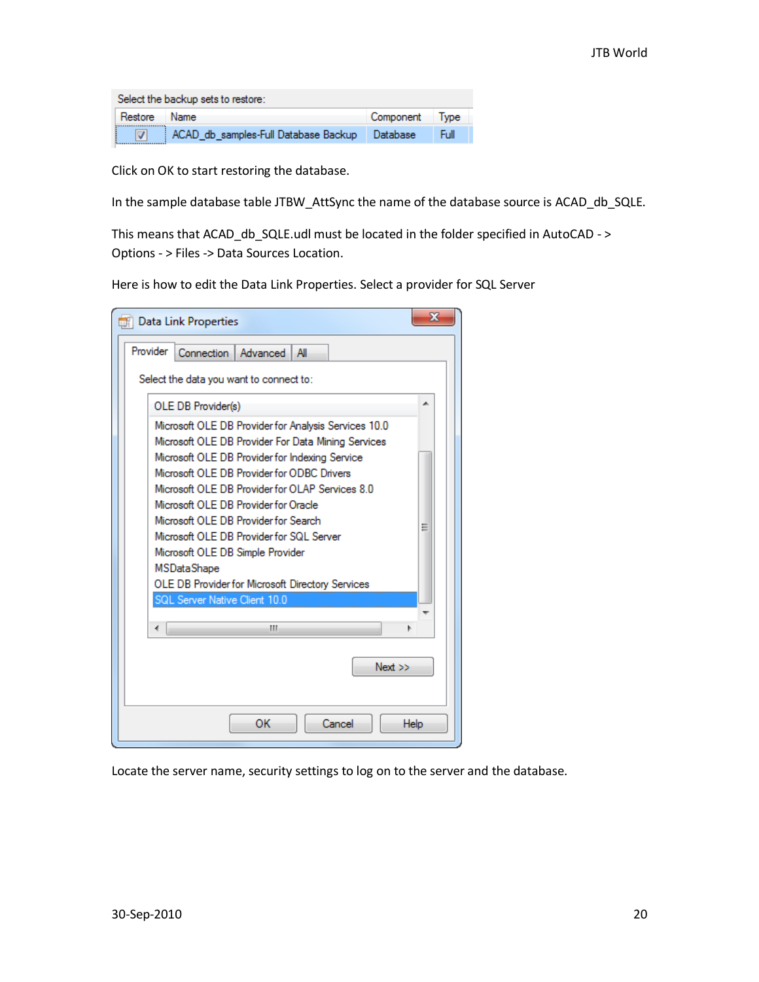|              | Select the backup sets to restore:            |                |      |  |
|--------------|-----------------------------------------------|----------------|------|--|
| Restore Name |                                               | Component Type |      |  |
|              | ACAD db samples-Full Database Backup Database |                | Full |  |

Click on OK to start restoring the database.

In the sample database table JTBW\_AttSync the name of the database source is ACAD\_db\_SQLE.

This means that ACAD\_db\_SQLE.udl must be located in the folder specified in AutoCAD - > Options - > Files -> Data Sources Location.

Here is how to edit the Data Link Properties. Select a provider for SQL Server

| Ж<br><b>Data Link Properties</b>                       |   |  |  |
|--------------------------------------------------------|---|--|--|
| Provider<br>Connection   Advanced   All                |   |  |  |
| Select the data you want to connect to:                |   |  |  |
| OLE DB Provider(s)                                     |   |  |  |
| Microsoft OLE DB Provider for Analysis Services 10.0   |   |  |  |
| Microsoft OLE DB Provider For Data Mining Services     |   |  |  |
| Microsoft OLE DB Provider for Indexing Service         |   |  |  |
| Microsoft OLE DB Provider for ODBC Drivers             |   |  |  |
| Microsoft OLE DB Provider for OLAP Services 8.0        |   |  |  |
| Microsoft OLE DB Provider for Oracle                   |   |  |  |
| Microsoft OLE DB Provider for Search                   | Ξ |  |  |
| Microsoft OLE DB Provider for SQL Server               |   |  |  |
| Microsoft OLE DB Simple Provider<br><b>MSDataShape</b> |   |  |  |
| OLE DB Provider for Microsoft Directory Services       |   |  |  |
| SQL Server Native Client 10.0                          |   |  |  |
|                                                        |   |  |  |
| ш<br>∢                                                 |   |  |  |
|                                                        |   |  |  |
| Next >>                                                |   |  |  |
|                                                        |   |  |  |
|                                                        |   |  |  |
| OK<br>Cancel<br><b>Help</b>                            |   |  |  |

Locate the server name, security settings to log on to the server and the database.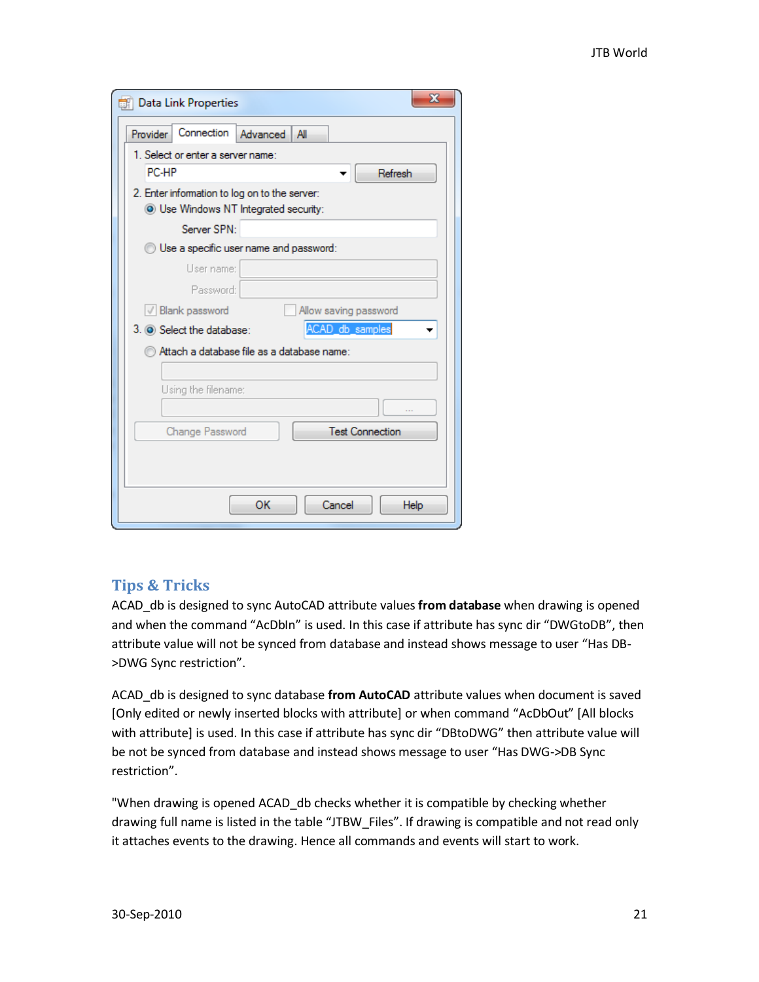| х<br><b>Data Link Properties</b>                                                              |
|-----------------------------------------------------------------------------------------------|
| Connection<br>Advanced<br>Provider<br>All                                                     |
| 1. Select or enter a server name:                                                             |
| PC-HP<br>Refresh                                                                              |
| 2. Enter information to log on to the server:<br><b>O</b> Use Windows NT Integrated security: |
| Server SPN:                                                                                   |
| Use a specific user name and password:                                                        |
| User name:                                                                                    |
| Password:                                                                                     |
| √ Blank password<br>Allow saving password                                                     |
| ACAD_db_samples<br>3. O Select the database:                                                  |
| Attach a database file as a database name:                                                    |
|                                                                                               |
| Using the filename:                                                                           |
| <b>Test Connection</b><br>Change Password                                                     |
| OК<br>Cancel<br>Help                                                                          |

## <span id="page-20-0"></span>**Tips & Tricks**

ACAD\_db is designed to sync AutoCAD attribute values **from database** when drawing is opened and when the command "AcDbIn" is used. In this case if attribute has sync dir "DWGtoDB", then attribute value will not be synced from database and instead shows message to user "Has DB- >DWG Sync restriction".

ACAD\_db is designed to sync database **from AutoCAD** attribute values when document is saved [Only edited or newly inserted blocks with attribute] or when command "AcDbOut" [All blocks with attribute] is used. In this case if attribute has sync dir "DBtoDWG" then attribute value will be not be synced from database and instead shows message to user "Has DWG->DB Sync restriction".

"When drawing is opened ACAD\_db checks whether it is compatible by checking whether drawing full name is listed in the table "JTBW\_Files". If drawing is compatible and not read only it attaches events to the drawing. Hence all commands and events will start to work.